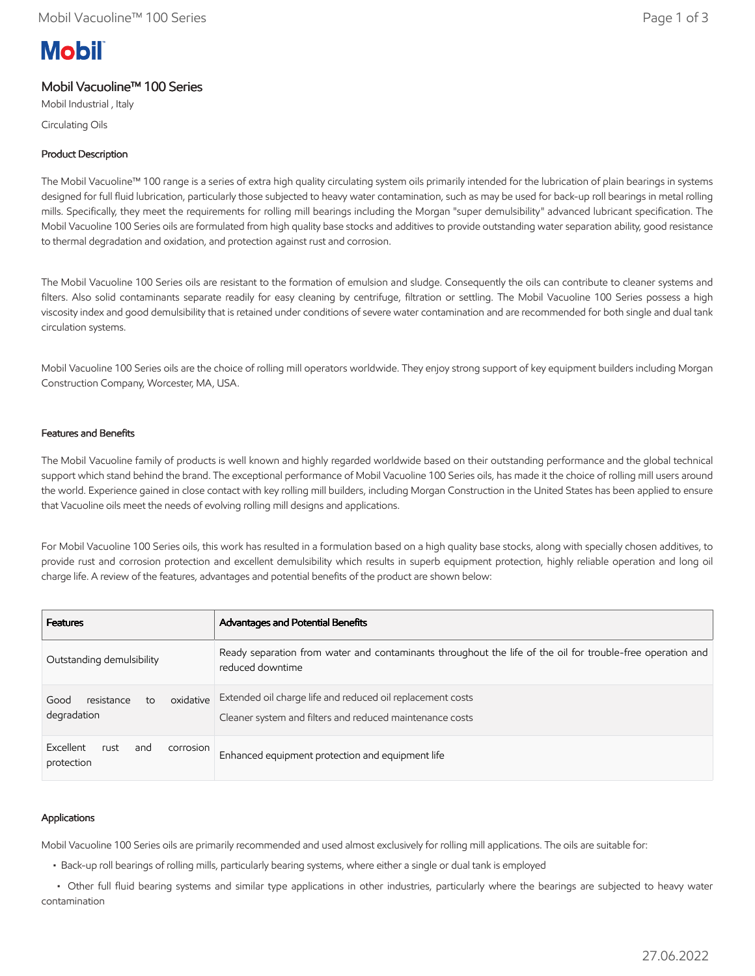# **Mobil**

# Mobil Vacuoline™ 100 Series

Mobil Industrial , Italy Circulating Oils

## Product Description

The Mobil Vacuoline™ 100 range is a series of extra high quality circulating system oils primarily intended for the lubrication of plain bearings in systems designed for full fluid lubrication, particularly those subjected to heavy water contamination, such as may be used for back-up roll bearings in metal rolling mills. Specifically, they meet the requirements for rolling mill bearings including the Morgan "super demulsibility" advanced lubricant specification. The Mobil Vacuoline 100 Series oils are formulated from high quality base stocks and additives to provide outstanding water separation ability, good resistance to thermal degradation and oxidation, and protection against rust and corrosion.

The Mobil Vacuoline 100 Series oils are resistant to the formation of emulsion and sludge. Consequently the oils can contribute to cleaner systems and filters. Also solid contaminants separate readily for easy cleaning by centrifuge, filtration or settling. The Mobil Vacuoline 100 Series possess a high viscosity index and good demulsibility that is retained under conditions of severe water contamination and are recommended for both single and dual tank circulation systems.

Mobil Vacuoline 100 Series oils are the choice of rolling mill operators worldwide. They enjoy strong support of key equipment builders including Morgan Construction Company, Worcester, MA, USA.

#### Features and Benefits

The Mobil Vacuoline family of products is well known and highly regarded worldwide based on their outstanding performance and the global technical support which stand behind the brand. The exceptional performance of Mobil Vacuoline 100 Series oils, has made it the choice of rolling mill users around the world. Experience gained in close contact with key rolling mill builders, including Morgan Construction in the United States has been applied to ensure that Vacuoline oils meet the needs of evolving rolling mill designs and applications.

For Mobil Vacuoline 100 Series oils, this work has resulted in a formulation based on a high quality base stocks, along with specially chosen additives, to provide rust and corrosion protection and excellent demulsibility which results in superb equipment protection, highly reliable operation and long oil charge life. A review of the features, advantages and potential benefits of the product are shown below:

| <b>Features</b>                                      | Advantages and Potential Benefits                                                                                              |  |  |
|------------------------------------------------------|--------------------------------------------------------------------------------------------------------------------------------|--|--|
| Outstanding demulsibility                            | Ready separation from water and contaminants throughout the life of the oil for trouble-free operation and<br>reduced downtime |  |  |
| oxidative<br>resistance<br>Good<br>to<br>degradation | Extended oil charge life and reduced oil replacement costs<br>Cleaner system and filters and reduced maintenance costs         |  |  |
| Excellent<br>rust<br>corrosion<br>and<br>protection  | Enhanced equipment protection and equipment life                                                                               |  |  |

### Applications

Mobil Vacuoline 100 Series oils are primarily recommended and used almost exclusively for rolling mill applications. The oils are suitable for:

• Back-up roll bearings of rolling mills, particularly bearing systems, where either a single or dual tank is employed

 • Other full fluid bearing systems and similar type applications in other industries, particularly where the bearings are subjected to heavy water contamination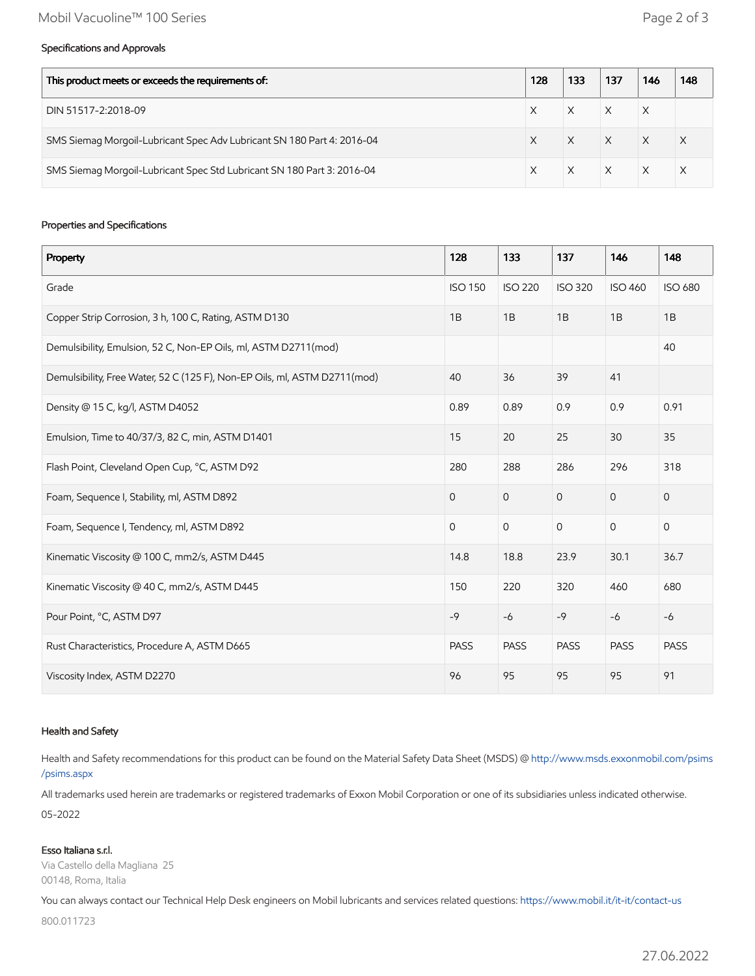#### Specifications and Approvals

| This product meets or exceeds the requirements of:                     |  | 133 | 137      | 146      | 148 |
|------------------------------------------------------------------------|--|-----|----------|----------|-----|
| DIN 51517-2:2018-09                                                    |  |     |          | X        |     |
| SMS Siemag Morgoil-Lubricant Spec Adv Lubricant SN 180 Part 4: 2016-04 |  |     | $\times$ | $\times$ |     |
| SMS Siemag Morgoil-Lubricant Spec Std Lubricant SN 180 Part 3: 2016-04 |  |     | $\times$ |          |     |

#### Properties and Specifications

| Property                                                                  | 128            | 133            | 137            | 146            | 148                 |
|---------------------------------------------------------------------------|----------------|----------------|----------------|----------------|---------------------|
| Grade                                                                     | <b>ISO 150</b> | <b>ISO 220</b> | <b>ISO 320</b> | <b>ISO 460</b> | <b>ISO 680</b>      |
| Copper Strip Corrosion, 3 h, 100 C, Rating, ASTM D130                     | 1B             | 1B             | 1B             | 1B             | 1B                  |
| Demulsibility, Emulsion, 52 C, Non-EP Oils, ml, ASTM D2711(mod)           |                |                |                |                | 40                  |
| Demulsibility, Free Water, 52 C (125 F), Non-EP Oils, ml, ASTM D2711(mod) | 40             | 36             | 39             | 41             |                     |
| Density @ 15 C, kg/l, ASTM D4052                                          | 0.89           | 0.89           | 0.9            | 0.9            | 0.91                |
| Emulsion, Time to 40/37/3, 82 C, min, ASTM D1401                          | 15             | 20             | 25             | 30             | 35                  |
| Flash Point, Cleveland Open Cup, °C, ASTM D92                             | 280            | 288            | 286            | 296            | 318                 |
| Foam, Sequence I, Stability, ml, ASTM D892                                | $\overline{O}$ | $\mathbf 0$    | $\mathbf{O}$   | $\overline{0}$ | $\mathsf{O}\xspace$ |
| Foam, Sequence I, Tendency, ml, ASTM D892                                 | $\mathbf 0$    | $\mathsf{O}$   | $\mathbf 0$    | $\mathbf 0$    | $\mathsf{O}\xspace$ |
| Kinematic Viscosity @ 100 C, mm2/s, ASTM D445                             | 14.8           | 18.8           | 23.9           | 30.1           | 36.7                |
| Kinematic Viscosity @ 40 C, mm2/s, ASTM D445                              | 150            | 220            | 320            | 460            | 680                 |
| Pour Point, °C, ASTM D97                                                  | $-9$           | $-6$           | $-9$           | $-6$           | $-6$                |
| Rust Characteristics, Procedure A, ASTM D665                              | <b>PASS</b>    | <b>PASS</b>    | <b>PASS</b>    | <b>PASS</b>    | <b>PASS</b>         |
| Viscosity Index, ASTM D2270                                               | 96             | 95             | 95             | 95             | 91                  |

#### Health and Safety

Health and Safety recommendations for this product can be found on the Material Safety Data Sheet (MSDS) @ [http://www.msds.exxonmobil.com/psims](http://www.msds.exxonmobil.com/psims/psims.aspx) /psims.aspx

All trademarks used herein are trademarks or registered trademarks of Exxon Mobil Corporation or one of its subsidiaries unless indicated otherwise. 05-2022

#### Esso Italiana s.r.l.

Via Castello della Magliana 25 00148, Roma, Italia

You can always contact our Technical Help Desk engineers on Mobil lubricants and services related questions:<https://www.mobil.it/it-it/contact-us>

800.011723